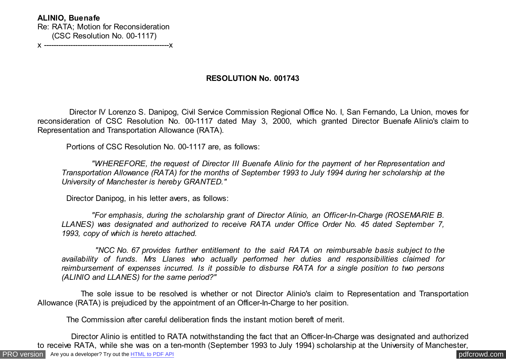**ALINIO, Buenafe** Re: RATA; Motion for Reconsideration (CSC Resolution No. 00-1117) x ----------------------------------------------------x

## **RESOLUTION No. 001743**

 Director IV Lorenzo S. Danipog, Civil Service Commission Regional Office No. I, San Fernando, La Union, moves for reconsideration of CSC Resolution No. 00-1117 dated May 3, 2000, which granted Director Buenafe Alinio's claim to Representation and Transportation Allowance (RATA).

Portions of CSC Resolution No. 00-1117 are, as follows:

 *"WHEREFORE, the request of Director III Buenafe Alinio for the payment of her Representation and Transportation Allowance (RATA) for the months of September 1993 to July 1994 during her scholarship at the University of Manchester is hereby GRANTED."*

Director Danipog, in his letter avers, as follows:

 *"For emphasis, during the scholarship grant of Director Alinio, an Officer-In-Charge (ROSEMARIE B. LLANES) was designated and authorized to receive RATA under Office Order No. 45 dated September 7, 1993, copy of which is hereto attached.*

 *"NCC No. 67 provides further entitlement to the said RATA on reimbursable basis subject to the availability of funds. Mrs Llanes who actually performed her duties and responsibilities claimed for reimbursement of expenses incurred. Is it possible to disburse RATA for a single position to two persons (ALINIO and LLANES) for the same period?"*

 The sole issue to be resolved is whether or not Director Alinio's claim to Representation and Transportation Allowance (RATA) is prejudiced by the appointment of an Officer-In-Charge to her position.

The Commission after careful deliberation finds the instant motion bereft of merit.

 Director Alinio is entitled to RATA notwithstanding the fact that an Officer-In-Charge was designated and authorized to receive RATA, while she was on a ten-month (September 1993 to July 1994) scholarship at the University of Manchester,

[PRO version](http://pdfcrowd.com/customize/) Are you a developer? Try out th[e HTML to PDF API](http://pdfcrowd.com/html-to-pdf-api/?ref=pdf) contract the community of the HTML to PDF API [pdfcrowd.com](http://pdfcrowd.com)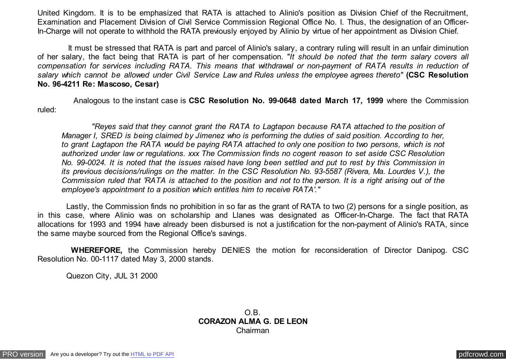United Kingdom. It is to be emphasized that RATA is attached to Alinio's position as Division Chief of the Recruitment, Examination and Placement Division of Civil Service Commission Regional Office No. I. Thus, the designation of an Officer-In-Charge will not operate to withhold the RATA previously enjoyed by Alinio by virtue of her appointment as Division Chief.

 It must be stressed that RATA is part and parcel of Alinio's salary, a contrary ruling will result in an unfair diminution of her salary, the fact being that RATA is part of her compensation. *"It should be noted that the term salary covers all compensation for services including RATA. This means that withdrawal or non-payment of RATA results in reduction of salary which cannot be allowed under Civil Service Law and Rules unless the employee agrees thereto"* **(CSC Resolution No. 96-4211 Re: Mascoso, Cesar)**

 Analogous to the instant case is **CSC Resolution No. 99-0648 dated March 17, 1999** where the Commission ruled:

 *"Reyes said that they cannot grant the RATA to Lagtapon because RATA attached to the position of Manager I, SRED is being claimed by Jimenez who is performing the duties of said position. According to her, to grant Lagtapon the RATA would be paying RATA attached to only one position to two persons, which is not authorized under law or regulations. xxx The Commission finds no cogent reason to set aside CSC Resolution No. 99-0024. It is noted that the issues raised have long been settled and put to rest by this Commission in its previous decisions/rulings on the matter. In the CSC Resolution No. 93-5587 (Rivera, Ma. Lourdes V.), the Commission ruled that 'RATA is attached to the position and not to the person. It is a right arising out of the employee's appointment to a position which entitles him to receive RATA'."*

 Lastly, the Commission finds no prohibition in so far as the grant of RATA to two (2) persons for a single position, as in this case, where Alinio was on scholarship and Llanes was designated as Officer-In-Charge. The fact that RATA allocations for 1993 and 1994 have already been disbursed is not a justification for the non-payment of Alinio's RATA, since the same maybe sourced from the Regional Office's savings.

 **WHEREFORE,** the Commission hereby DENIES the motion for reconsideration of Director Danipog. CSC Resolution No. 00-1117 dated May 3, 2000 stands.

Quezon City, JUL 31 2000

O.B. **CORAZON ALMA G. DE LEON** Chairman